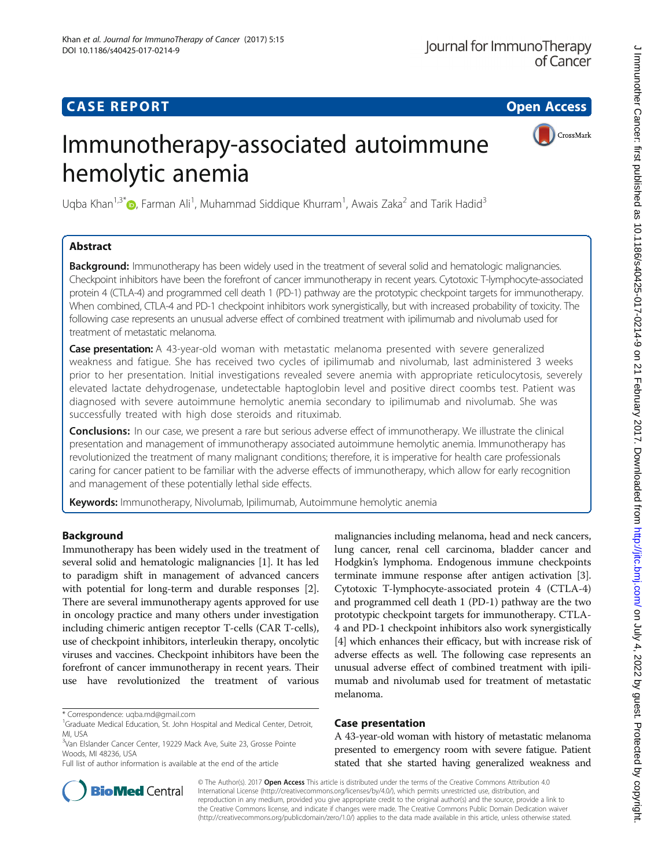## **CASE REPORT CASE ACCESS**

# Immunotherapy-associated autoimmune hemolytic anemia

Uqba Khan<sup>1[,](http://orcid.org/0000-0002-4740-2256)3\*</sup> (D, Farman Ali<sup>1</sup>, Muhammad Siddique Khurram<sup>1</sup>, Awais Zaka<sup>2</sup> and Tarik Hadid<sup>3</sup>

## Abstract

**Background:** Immunotherapy has been widely used in the treatment of several solid and hematologic malignancies. Checkpoint inhibitors have been the forefront of cancer immunotherapy in recent years. Cytotoxic T-lymphocyte-associated protein 4 (CTLA-4) and programmed cell death 1 (PD-1) pathway are the prototypic checkpoint targets for immunotherapy. When combined, CTLA-4 and PD-1 checkpoint inhibitors work synergistically, but with increased probability of toxicity. The following case represents an unusual adverse effect of combined treatment with ipilimumab and nivolumab used for treatment of metastatic melanoma.

**Case presentation:** A 43-year-old woman with metastatic melanoma presented with severe generalized weakness and fatigue. She has received two cycles of ipilimumab and nivolumab, last administered 3 weeks prior to her presentation. Initial investigations revealed severe anemia with appropriate reticulocytosis, severely elevated lactate dehydrogenase, undetectable haptoglobin level and positive direct coombs test. Patient was diagnosed with severe autoimmune hemolytic anemia secondary to ipilimumab and nivolumab. She was successfully treated with high dose steroids and rituximab.

Conclusions: In our case, we present a rare but serious adverse effect of immunotherapy. We illustrate the clinical presentation and management of immunotherapy associated autoimmune hemolytic anemia. Immunotherapy has revolutionized the treatment of many malignant conditions; therefore, it is imperative for health care professionals caring for cancer patient to be familiar with the adverse effects of immunotherapy, which allow for early recognition and management of these potentially lethal side effects.

Keywords: Immunotherapy, Nivolumab, Ipilimumab, Autoimmune hemolytic anemia

## Background

Immunotherapy has been widely used in the treatment of several solid and hematologic malignancies [[1](#page-3-0)]. It has led to paradigm shift in management of advanced cancers with potential for long-term and durable responses [[2](#page-3-0)]. There are several immunotherapy agents approved for use in oncology practice and many others under investigation including chimeric antigen receptor T-cells (CAR T-cells), use of checkpoint inhibitors, interleukin therapy, oncolytic viruses and vaccines. Checkpoint inhibitors have been the forefront of cancer immunotherapy in recent years. Their use have revolutionized the treatment of various

\* Correspondence: [uqba.md@gmail.com](mailto:uqba.md@gmail.com) <sup>1</sup>

Full list of author information is available at the end of the article

malignancies including melanoma, head and neck cancers, lung cancer, renal cell carcinoma, bladder cancer and Hodgkin's lymphoma. Endogenous immune checkpoints terminate immune response after antigen activation [[3](#page-3-0)]. Cytotoxic T-lymphocyte-associated protein 4 (CTLA-4) and programmed cell death 1 (PD-1) pathway are the two prototypic checkpoint targets for immunotherapy. CTLA-4 and PD-1 checkpoint inhibitors also work synergistically [[4\]](#page-3-0) which enhances their efficacy, but with increase risk of adverse effects as well. The following case represents an unusual adverse effect of combined treatment with ipilimumab and nivolumab used for treatment of metastatic melanoma.

### Case presentation

A 43-year-old woman with history of metastatic melanoma presented to emergency room with severe fatigue. Patient stated that she started having generalized weakness and



© The Author(s). 2017 **Open Access** This article is distributed under the terms of the Creative Commons Attribution 4.0 International License [\(http://creativecommons.org/licenses/by/4.0/](http://creativecommons.org/licenses/by/4.0/)), which permits unrestricted use, distribution, and reproduction in any medium, provided you give appropriate credit to the original author(s) and the source, provide a link to the Creative Commons license, and indicate if changes were made. The Creative Commons Public Domain Dedication waiver [\(http://creativecommons.org/publicdomain/zero/1.0/](http://creativecommons.org/publicdomain/zero/1.0/)) applies to the data made available in this article, unless otherwise stated.



<sup>&</sup>lt;sup>1</sup>Graduate Medical Education, St. John Hospital and Medical Center, Detroit, MI, USA

<sup>&</sup>lt;sup>3</sup>Van Elslander Cancer Center, 19229 Mack Ave, Suite 23, Grosse Pointe Woods, MI 48236, USA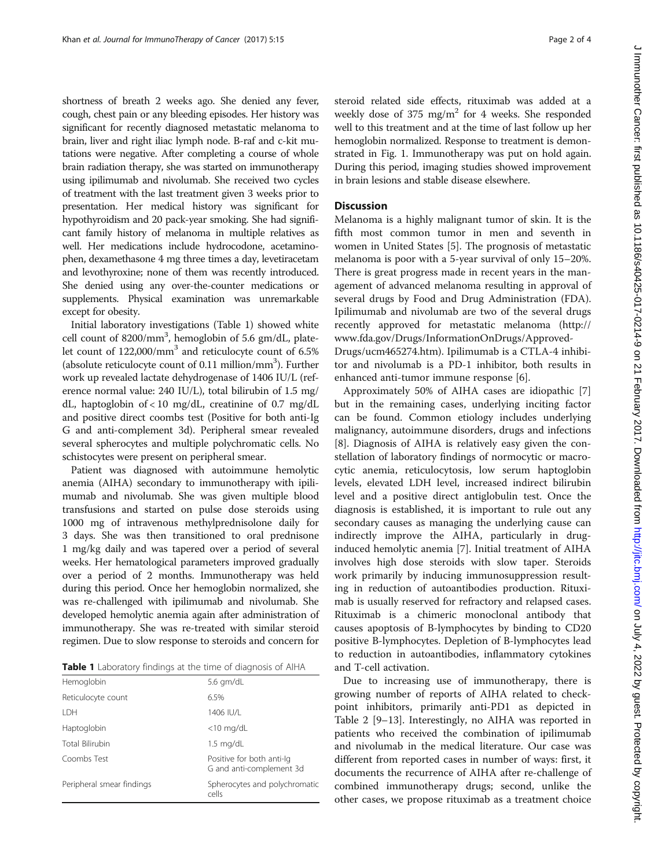shortness of breath 2 weeks ago. She denied any fever, cough, chest pain or any bleeding episodes. Her history was significant for recently diagnosed metastatic melanoma to brain, liver and right iliac lymph node. B-raf and c-kit mutations were negative. After completing a course of whole brain radiation therapy, she was started on immunotherapy using ipilimumab and nivolumab. She received two cycles of treatment with the last treatment given 3 weeks prior to presentation. Her medical history was significant for hypothyroidism and 20 pack-year smoking. She had significant family history of melanoma in multiple relatives as well. Her medications include hydrocodone, acetaminophen, dexamethasone 4 mg three times a day, levetiracetam and levothyroxine; none of them was recently introduced. She denied using any over-the-counter medications or supplements. Physical examination was unremarkable except for obesity.

Initial laboratory investigations (Table 1) showed white cell count of 8200/mm<sup>3</sup>, hemoglobin of 5.6 gm/dL, platelet count of 122,000/mm3 and reticulocyte count of 6.5% (absolute reticulocyte count of 0.11 million/mm<sup>3</sup>). Further work up revealed lactate dehydrogenase of 1406 IU/L (reference normal value: 240 IU/L), total bilirubin of 1.5 mg/ dL, haptoglobin of  $< 10$  mg/dL, creatinine of 0.7 mg/dL and positive direct coombs test (Positive for both anti-Ig G and anti-complement 3d). Peripheral smear revealed several spherocytes and multiple polychromatic cells. No schistocytes were present on peripheral smear.

Patient was diagnosed with autoimmune hemolytic anemia (AIHA) secondary to immunotherapy with ipilimumab and nivolumab. She was given multiple blood transfusions and started on pulse dose steroids using 1000 mg of intravenous methylprednisolone daily for 3 days. She was then transitioned to oral prednisone 1 mg/kg daily and was tapered over a period of several weeks. Her hematological parameters improved gradually over a period of 2 months. Immunotherapy was held during this period. Once her hemoglobin normalized, she was re-challenged with ipilimumab and nivolumab. She developed hemolytic anemia again after administration of immunotherapy. She was re-treated with similar steroid regimen. Due to slow response to steroids and concern for

Table 1 Laboratory findings at the time of diagnosis of AIHA

| Hemoglobin                | 5.6 $qm/dL$                                           |
|---------------------------|-------------------------------------------------------|
| Reticulocyte count        | 6.5%                                                  |
| <b>IDH</b>                | 1406 IU/L                                             |
| Haptoglobin               | $<$ 10 mg/dL                                          |
| <b>Total Bilirubin</b>    | $1.5 \text{ mg/dL}$                                   |
| Coombs Test               | Positive for both anti-lg<br>G and anti-complement 3d |
| Peripheral smear findings | Spherocytes and polychromatic<br>cells                |
|                           |                                                       |

J Immunother Cancer: first published as 10.1186/s40425-017-0214-9 on 21 February 2017. Downloaded from http://jjtc.bmj.com/ on July 4, 2022 by guest. Protected by copyright J Immunother Cancer: first published as 10.1186/s40425-017-0214-9 on 21 February 2017. Downloaded from <http://jitc.bmj.com/> on July 4, 2022 by guest. Protected by copyright.

steroid related side effects, rituximab was added at a weekly dose of 375 mg/m2 for 4 weeks. She responded well to this treatment and at the time of last follow up her hemoglobin normalized. Response to treatment is demonstrated in Fig. [1.](#page-2-0) Immunotherapy was put on hold again. During this period, imaging studies showed improvement in brain lesions and stable disease elsewhere.

#### Discussion

Melanoma is a highly malignant tumor of skin. It is the fifth most common tumor in men and seventh in women in United States [\[5](#page-3-0)]. The prognosis of metastatic melanoma is poor with a 5-year survival of only 15–20%. There is great progress made in recent years in the management of advanced melanoma resulting in approval of several drugs by Food and Drug Administration (FDA). Ipilimumab and nivolumab are two of the several drugs recently approved for metastatic melanoma [\(http://](http://www.fda.gov/Drugs/InformationOnDrugs/ApprovedDrugs/ucm465274.htm) [www.fda.gov/Drugs/InformationOnDrugs/Approved-](http://www.fda.gov/Drugs/InformationOnDrugs/ApprovedDrugs/ucm465274.htm)

[Drugs/ucm465274.htm](http://www.fda.gov/Drugs/InformationOnDrugs/ApprovedDrugs/ucm465274.htm)). Ipilimumab is a CTLA-4 inhibitor and nivolumab is a PD-1 inhibitor, both results in enhanced anti-tumor immune response [\[6\]](#page-3-0).

Approximately 50% of AIHA cases are idiopathic [\[7](#page-3-0)] but in the remaining cases, underlying inciting factor can be found. Common etiology includes underlying malignancy, autoimmune disorders, drugs and infections [[8\]](#page-3-0). Diagnosis of AIHA is relatively easy given the constellation of laboratory findings of normocytic or macrocytic anemia, reticulocytosis, low serum haptoglobin levels, elevated LDH level, increased indirect bilirubin level and a positive direct antiglobulin test. Once the diagnosis is established, it is important to rule out any secondary causes as managing the underlying cause can indirectly improve the AIHA, particularly in druginduced hemolytic anemia [\[7](#page-3-0)]. Initial treatment of AIHA involves high dose steroids with slow taper. Steroids work primarily by inducing immunosuppression resulting in reduction of autoantibodies production. Rituximab is usually reserved for refractory and relapsed cases. Rituximab is a chimeric monoclonal antibody that causes apoptosis of B-lymphocytes by binding to CD20 positive B-lymphocytes. Depletion of B-lymphocytes lead to reduction in autoantibodies, inflammatory cytokines and T-cell activation.

Due to increasing use of immunotherapy, there is growing number of reports of AIHA related to checkpoint inhibitors, primarily anti-PD1 as depicted in Table [2](#page-2-0) [[9](#page-3-0)–[13](#page-3-0)]. Interestingly, no AIHA was reported in patients who received the combination of ipilimumab and nivolumab in the medical literature. Our case was different from reported cases in number of ways: first, it documents the recurrence of AIHA after re-challenge of combined immunotherapy drugs; second, unlike the other cases, we propose rituximab as a treatment choice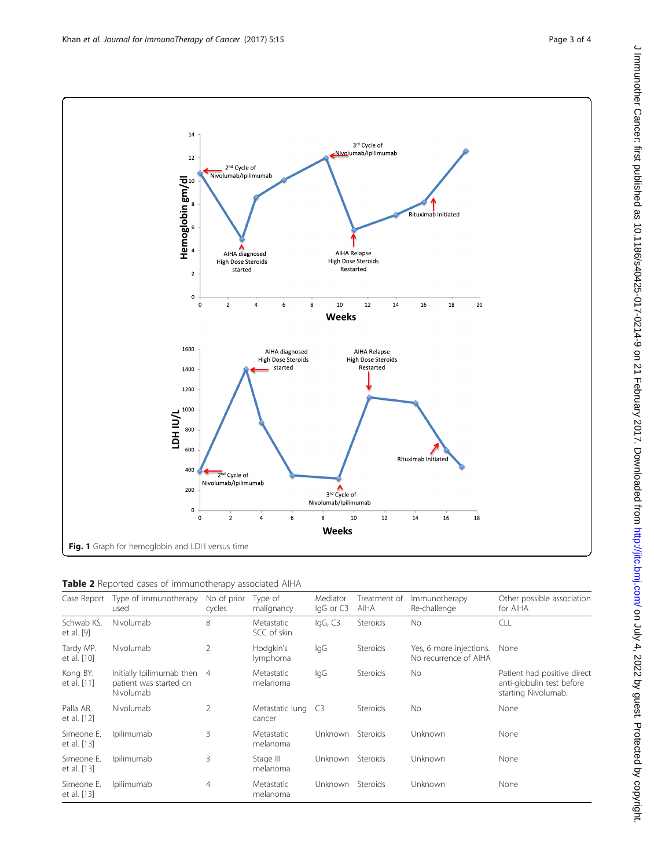<span id="page-2-0"></span>

| Table 2 Reported cases of immunotherapy associated AIHA |  |  |
|---------------------------------------------------------|--|--|
|---------------------------------------------------------|--|--|

|                           | Case Report Type of immunotherapy<br>used                          | No of prior<br>cycles | Type of<br>malignancy        | Mediator<br>IgG or C3 | Treatment of<br>AIHA | Immunotherapy<br>Re-challenge                    | Other possible association<br>for AIHA                                          |
|---------------------------|--------------------------------------------------------------------|-----------------------|------------------------------|-----------------------|----------------------|--------------------------------------------------|---------------------------------------------------------------------------------|
| Schwab KS.<br>et al. [9]  | Nivolumab                                                          | 8                     | Metastatic<br>SCC of skin    | IqG, C3               | Steroids             | No.                                              | CLL                                                                             |
| Tardy MP.<br>et al. [10]  | Nivolumab                                                          | $\overline{2}$        | Hodgkin's<br>lymphoma        | lgG                   | <b>Steroids</b>      | Yes, 6 more injections.<br>No recurrence of AIHA | None                                                                            |
| Kong BY.<br>et al. [11]   | Initially Ipilimumab then 4<br>patient was started on<br>Nivolumab |                       | Metastatic<br>melanoma       | lgG                   | Steroids             | No                                               | Patient had positive direct<br>anti-globulin test before<br>starting Nivolumab. |
| Palla AR.<br>et al. [12]  | Nivolumab                                                          | $\overline{2}$        | Metastatic lung C3<br>cancer |                       | Steroids             | No.                                              | None                                                                            |
| Simeone E.<br>et al. [13] | Ipilimumab                                                         | 3                     | Metastatic<br>melanoma       | <b>Unknown</b>        | Steroids             | Unknown                                          | None                                                                            |
| Simeone E.<br>et al. [13] | Ipilimumab                                                         | 3                     | Stage III<br>melanoma        | <b>Unknown</b>        | Steroids             | Unknown                                          | None                                                                            |
| Simeone E.<br>et al. [13] | Ipilimumab                                                         | $\overline{4}$        | Metastatic<br>melanoma       | Unknown               | Steroids             | Unknown                                          | None                                                                            |